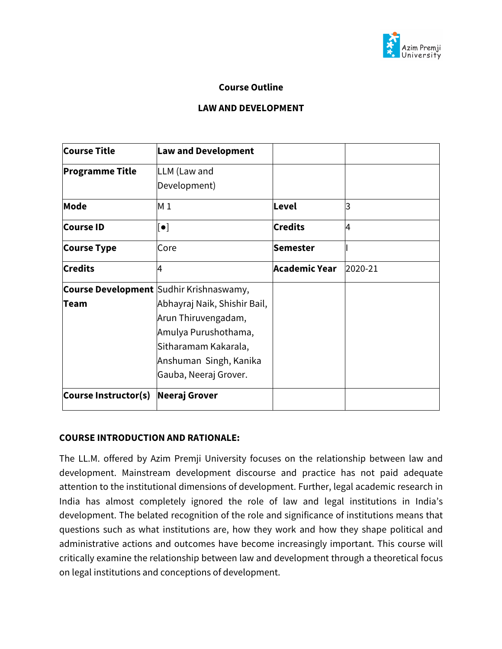

#### **Course Outline**

#### **LAW AND DEVELOPMENT**

| <b>Course Title</b>    | <b>Law and Development</b>                     |                |         |
|------------------------|------------------------------------------------|----------------|---------|
| <b>Programme Title</b> | LLM (Law and                                   |                |         |
|                        | Development)                                   |                |         |
| Mode                   | M <sub>1</sub>                                 | Level          | 3       |
| <b>Course ID</b>       | $[\bullet]$                                    | <b>Credits</b> | 4       |
| <b>Course Type</b>     | Core                                           | Semester       |         |
| <b>Credits</b>         | 4                                              | Academic Year  | 2020-21 |
|                        | <b>Course Development</b> Sudhir Krishnaswamy, |                |         |
| Team                   | Abhayraj Naik, Shishir Bail,                   |                |         |
|                        | Arun Thiruvengadam,                            |                |         |
|                        | Amulya Purushothama,                           |                |         |
|                        | Sitharamam Kakarala,                           |                |         |
|                        | Anshuman Singh, Kanika                         |                |         |
|                        | Gauba, Neeraj Grover.                          |                |         |
| Course Instructor(s)   | Neeraj Grover                                  |                |         |

#### **COURSE INTRODUCTION AND RATIONALE:**

The LL.M. offered by Azim Premji University focuses on the relationship between law and development. Mainstream development discourse and practice has not paid adequate attention to the institutional dimensions of development. Further, legal academic research in India has almost completely ignored the role of law and legal institutions in India's development. The belated recognition of the role and significance of institutions means that questions such as what institutions are, how they work and how they shape political and administrative actions and outcomes have become increasingly important. This course will critically examine the relationship between law and development through a theoretical focus on legal institutions and conceptions of development.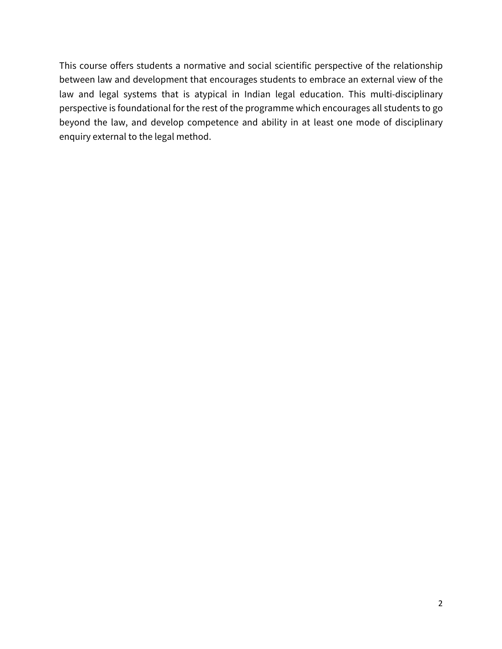This course offers students a normative and social scientific perspective of the relationship between law and development that encourages students to embrace an external view of the law and legal systems that is atypical in Indian legal education. This multi-disciplinary perspective is foundational for the rest of the programme which encourages all students to go beyond the law, and develop competence and ability in at least one mode of disciplinary enquiry external to the legal method.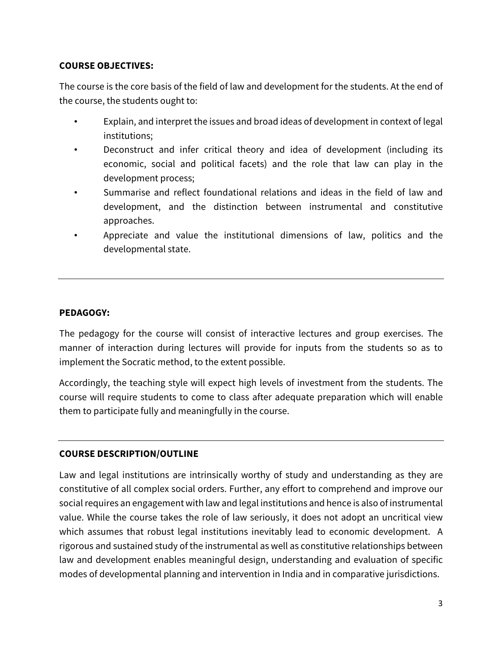### **COURSE OBJECTIVES:**

The course is the core basis of the field of law and development for the students. At the end of the course, the students ought to:

- Explain, and interpret the issues and broad ideas of development in context of legal institutions;
- Deconstruct and infer critical theory and idea of development (including its economic, social and political facets) and the role that law can play in the development process;
- Summarise and reflect foundational relations and ideas in the field of law and development, and the distinction between instrumental and constitutive approaches.
- Appreciate and value the institutional dimensions of law, politics and the developmental state.

### **PEDAGOGY:**

The pedagogy for the course will consist of interactive lectures and group exercises. The manner of interaction during lectures will provide for inputs from the students so as to implement the Socratic method, to the extent possible.

Accordingly, the teaching style will expect high levels of investment from the students. The course will require students to come to class after adequate preparation which will enable them to participate fully and meaningfully in the course.

### **COURSE DESCRIPTION/OUTLINE**

Law and legal institutions are intrinsically worthy of study and understanding as they are constitutive of all complex social orders. Further, any effort to comprehend and improve our social requires an engagement with law and legal institutions and hence is also of instrumental value. While the course takes the role of law seriously, it does not adopt an uncritical view which assumes that robust legal institutions inevitably lead to economic development. A rigorous and sustained study of the instrumental as well as constitutive relationships between law and development enables meaningful design, understanding and evaluation of specific modes of developmental planning and intervention in India and in comparative jurisdictions.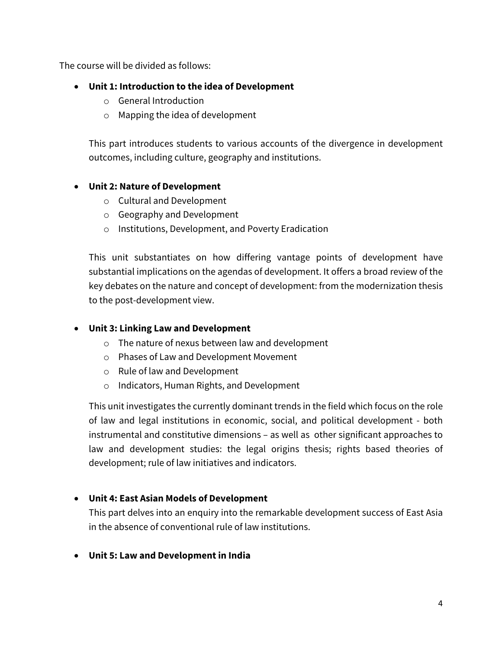The course will be divided as follows:

## • **Unit 1: Introduction to the idea of Development**

- o General Introduction
- o Mapping the idea of development

This part introduces students to various accounts of the divergence in development outcomes, including culture, geography and institutions.

### • **Unit 2: Nature of Development**

- o Cultural and Development
- o Geography and Development
- o Institutions, Development, and Poverty Eradication

This unit substantiates on how differing vantage points of development have substantial implications on the agendas of development. It offers a broad review of the key debates on the nature and concept of development: from the modernization thesis to the post-development view.

### • **Unit 3: Linking Law and Development**

- o The nature of nexus between law and development
- o Phases of Law and Development Movement
- o Rule of law and Development
- o Indicators, Human Rights, and Development

This unit investigates the currently dominant trends in the field which focus on the role of law and legal institutions in economic, social, and political development - both instrumental and constitutive dimensions – as well as other significant approaches to law and development studies: the legal origins thesis; rights based theories of development; rule of law initiatives and indicators.

### • **Unit 4: East Asian Models of Development**

This part delves into an enquiry into the remarkable development success of East Asia in the absence of conventional rule of law institutions.

• **Unit 5: Law and Development in India**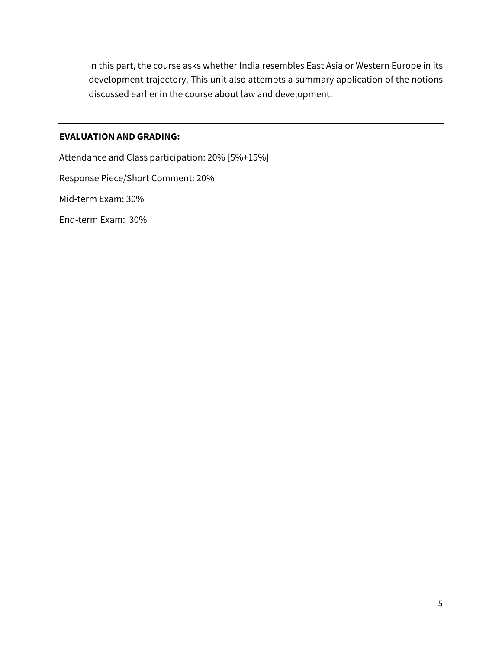In this part, the course asks whether India resembles East Asia or Western Europe in its development trajectory. This unit also attempts a summary application of the notions discussed earlier in the course about law and development.

#### **EVALUATION AND GRADING:**

Attendance and Class participation: 20% [5%+15%] Response Piece/Short Comment: 20% Mid-term Exam: 30% End-term Exam: 30%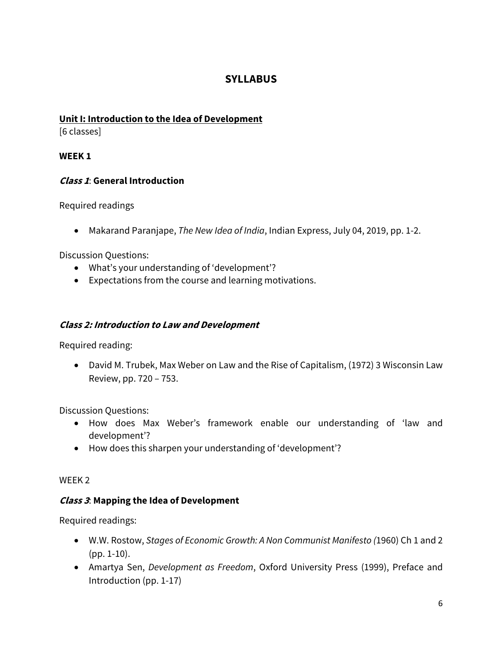## **SYLLABUS**

## **Unit I: Introduction to the Idea of Development**

[6 classes]

## **WEEK 1**

## **Class 1**: **General Introduction**

Required readings

• Makarand Paranjape, *The New Idea of India*, Indian Express, July 04, 2019, pp. 1-2.

Discussion Questions:

- What's your understanding of 'development'?
- Expectations from the course and learning motivations.

### **Class 2: Introduction to Law and Development**

Required reading:

• David M. Trubek, Max Weber on Law and the Rise of Capitalism, (1972) 3 Wisconsin Law Review, pp. 720 – 753.

Discussion Questions:

- How does Max Weber's framework enable our understanding of 'law and development'?
- How does this sharpen your understanding of 'development'?

### WEEK 2

### **Class 3**: **Mapping the Idea of Development**

- W.W. Rostow, *Stages of Economic Growth: A Non Communist Manifesto (*1960) Ch 1 and 2 (pp. 1-10).
- Amartya Sen, *Development as Freedom*, Oxford University Press (1999), Preface and Introduction (pp. 1-17)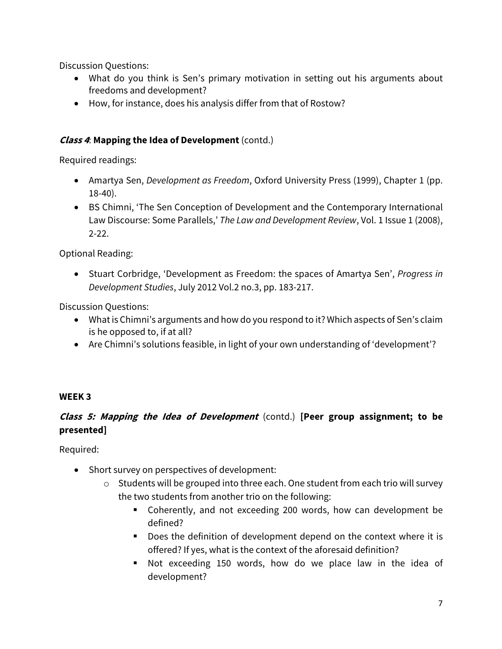Discussion Questions:

- What do you think is Sen's primary motivation in setting out his arguments about freedoms and development?
- How, for instance, does his analysis differ from that of Rostow?

## **Class 4**: **Mapping the Idea of Development** (contd.)

Required readings:

- Amartya Sen, *Development as Freedom*, Oxford University Press (1999), Chapter 1 (pp. 18-40).
- BS Chimni, 'The Sen Conception of Development and the Contemporary International Law Discourse: Some Parallels,' *The Law and Development Review*, Vol. 1 Issue 1 (2008), 2-22.

Optional Reading:

• Stuart Corbridge, 'Development as Freedom: the spaces of Amartya Sen', *Progress in Development Studies*, July 2012 Vol.2 no.3, pp. 183-217.

Discussion Questions:

- What is Chimni's arguments and how do you respond to it? Which aspects of Sen's claim is he opposed to, if at all?
- Are Chimni's solutions feasible, in light of your own understanding of 'development'?

# **WEEK 3**

# **Class 5: Mapping the Idea of Development** (contd.) **[Peer group assignment; to be presented]**

Required:

- Short survey on perspectives of development:
	- o Students will be grouped into three each. One student from each trio will survey the two students from another trio on the following:
		- Coherently, and not exceeding 200 words, how can development be defined?
		- Does the definition of development depend on the context where it is offered? If yes, what is the context of the aforesaid definition?
		- § Not exceeding 150 words, how do we place law in the idea of development?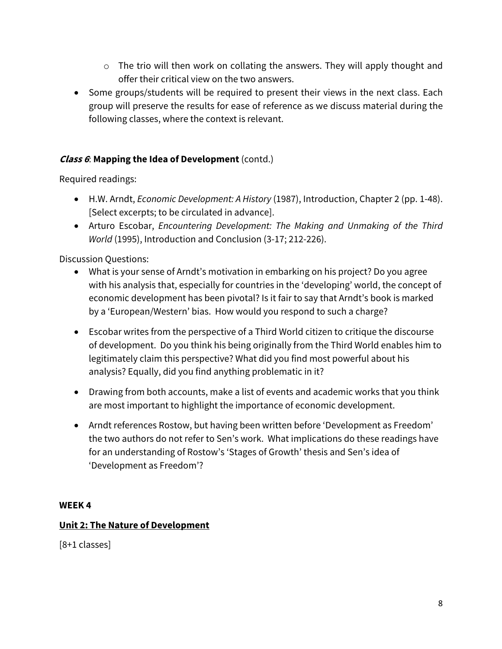- o The trio will then work on collating the answers. They will apply thought and offer their critical view on the two answers.
- Some groups/students will be required to present their views in the next class. Each group will preserve the results for ease of reference as we discuss material during the following classes, where the context is relevant.

## **Class 6**: **Mapping the Idea of Development** (contd.)

Required readings:

- H.W. Arndt, *Economic Development: A History* (1987), Introduction, Chapter 2 (pp. 1-48). [Select excerpts; to be circulated in advance].
- Arturo Escobar, *Encountering Development: The Making and Unmaking of the Third World* (1995), Introduction and Conclusion (3-17; 212-226).

Discussion Questions:

- What is your sense of Arndt's motivation in embarking on his project? Do you agree with his analysis that, especially for countries in the 'developing' world, the concept of economic development has been pivotal? Is it fair to say that Arndt's book is marked by a 'European/Western' bias. How would you respond to such a charge?
- Escobar writes from the perspective of a Third World citizen to critique the discourse of development. Do you think his being originally from the Third World enables him to legitimately claim this perspective? What did you find most powerful about his analysis? Equally, did you find anything problematic in it?
- Drawing from both accounts, make a list of events and academic works that you think are most important to highlight the importance of economic development.
- Arndt references Rostow, but having been written before 'Development as Freedom' the two authors do not refer to Sen's work. What implications do these readings have for an understanding of Rostow's 'Stages of Growth' thesis and Sen's idea of 'Development as Freedom'?

## **WEEK 4**

## **Unit 2: The Nature of Development**

[8+1 classes]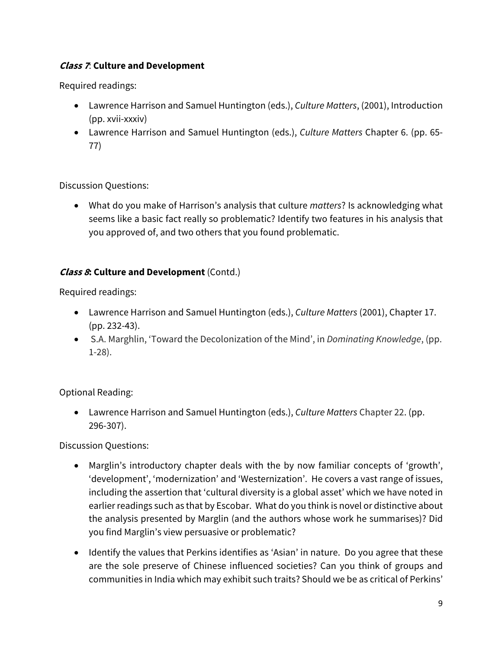## **Class 7**: **Culture and Development**

Required readings:

- Lawrence Harrison and Samuel Huntington (eds.), *Culture Matters*, (2001), Introduction (pp. xvii-xxxiv)
- Lawrence Harrison and Samuel Huntington (eds.), *Culture Matters* Chapter 6. (pp. 65- 77)

Discussion Questions:

• What do you make of Harrison's analysis that culture *matters*? Is acknowledging what seems like a basic fact really so problematic? Identify two features in his analysis that you approved of, and two others that you found problematic.

## **Class 8: Culture and Development** (Contd.)

Required readings:

- Lawrence Harrison and Samuel Huntington (eds.), *Culture Matters* (2001), Chapter 17. (pp. 232-43).
- S.A. Marghlin, 'Toward the Decolonization of the Mind', in *Dominating Knowledge*, (pp. 1-28).

Optional Reading:

• Lawrence Harrison and Samuel Huntington (eds.), *Culture Matters* Chapter 22. (pp. 296-307).

- Marglin's introductory chapter deals with the by now familiar concepts of 'growth', 'development', 'modernization' and 'Westernization'. He covers a vast range of issues, including the assertion that 'cultural diversity is a global asset' which we have noted in earlier readings such as that by Escobar. What do you think is novel or distinctive about the analysis presented by Marglin (and the authors whose work he summarises)? Did you find Marglin's view persuasive or problematic?
- Identify the values that Perkins identifies as 'Asian' in nature. Do you agree that these are the sole preserve of Chinese influenced societies? Can you think of groups and communities in India which may exhibit such traits? Should we be as critical of Perkins'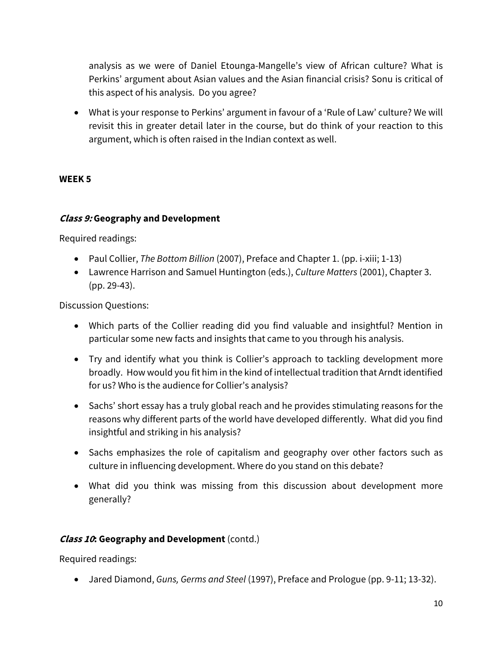analysis as we were of Daniel Etounga-Mangelle's view of African culture? What is Perkins' argument about Asian values and the Asian financial crisis? Sonu is critical of this aspect of his analysis. Do you agree?

• What is your response to Perkins' argument in favour of a 'Rule of Law' culture? We will revisit this in greater detail later in the course, but do think of your reaction to this argument, which is often raised in the Indian context as well.

### **WEEK 5**

### **Class 9: Geography and Development**

Required readings:

- Paul Collier, *The Bottom Billion* (2007), Preface and Chapter 1. (pp. i-xiii; 1-13)
- Lawrence Harrison and Samuel Huntington (eds.), *Culture Matters* (2001), Chapter 3. (pp. 29-43).

Discussion Questions:

- Which parts of the Collier reading did you find valuable and insightful? Mention in particular some new facts and insights that came to you through his analysis.
- Try and identify what you think is Collier's approach to tackling development more broadly. How would you fit him in the kind of intellectual tradition that Arndt identified for us? Who is the audience for Collier's analysis?
- Sachs' short essay has a truly global reach and he provides stimulating reasons for the reasons why different parts of the world have developed differently. What did you find insightful and striking in his analysis?
- Sachs emphasizes the role of capitalism and geography over other factors such as culture in influencing development. Where do you stand on this debate?
- What did you think was missing from this discussion about development more generally?

## **Class 10: Geography and Development** (contd.)

Required readings:

• Jared Diamond, *Guns, Germs and Steel* (1997), Preface and Prologue (pp. 9-11; 13-32).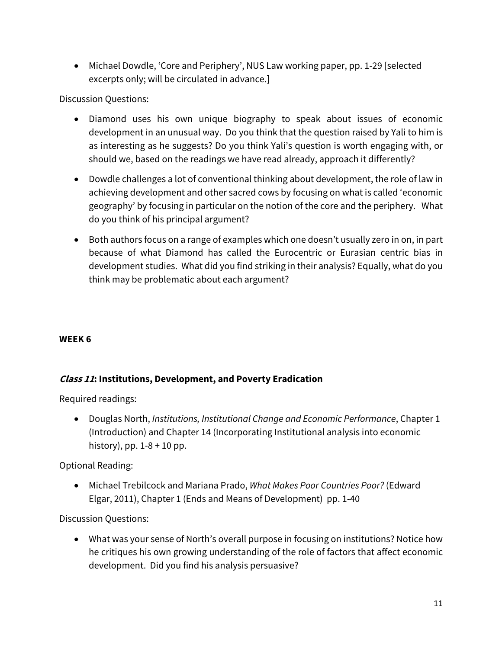• Michael Dowdle, 'Core and Periphery', NUS Law working paper, pp. 1-29 [selected excerpts only; will be circulated in advance.]

Discussion Questions:

- Diamond uses his own unique biography to speak about issues of economic development in an unusual way. Do you think that the question raised by Yali to him is as interesting as he suggests? Do you think Yali's question is worth engaging with, or should we, based on the readings we have read already, approach it differently?
- Dowdle challenges a lot of conventional thinking about development, the role of law in achieving development and other sacred cows by focusing on what is called 'economic geography' by focusing in particular on the notion of the core and the periphery. What do you think of his principal argument?
- Both authors focus on a range of examples which one doesn't usually zero in on, in part because of what Diamond has called the Eurocentric or Eurasian centric bias in development studies. What did you find striking in their analysis? Equally, what do you think may be problematic about each argument?

## **WEEK 6**

## **Class 11: Institutions, Development, and Poverty Eradication**

Required readings:

• Douglas North, *Institutions, Institutional Change and Economic Performance*, Chapter 1 (Introduction) and Chapter 14 (Incorporating Institutional analysis into economic history), pp.  $1-8+10$  pp.

Optional Reading:

• Michael Trebilcock and Mariana Prado, *What Makes Poor Countries Poor?* (Edward Elgar, 2011), Chapter 1 (Ends and Means of Development) pp. 1-40

Discussion Questions:

• What was your sense of North's overall purpose in focusing on institutions? Notice how he critiques his own growing understanding of the role of factors that affect economic development. Did you find his analysis persuasive?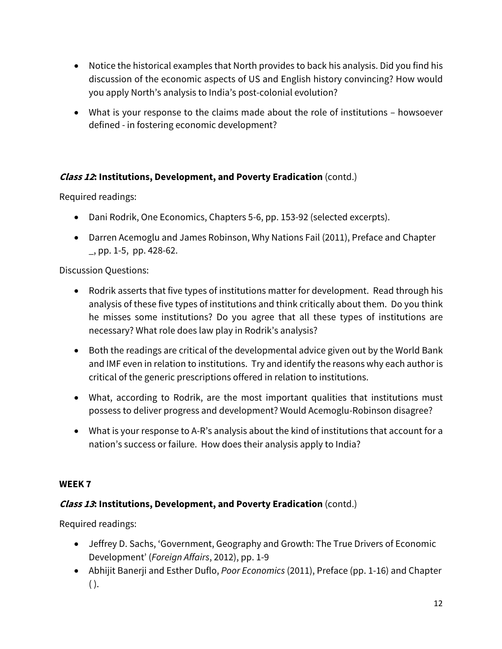- Notice the historical examples that North provides to back his analysis. Did you find his discussion of the economic aspects of US and English history convincing? How would you apply North's analysis to India's post-colonial evolution?
- What is your response to the claims made about the role of institutions howsoever defined - in fostering economic development?

## **Class 12: Institutions, Development, and Poverty Eradication** (contd.)

Required readings:

- Dani Rodrik, One Economics, Chapters 5-6, pp. 153-92 (selected excerpts).
- Darren Acemoglu and James Robinson, Why Nations Fail (2011), Preface and Chapter \_, pp. 1-5, pp. 428-62.

Discussion Questions:

- Rodrik asserts that five types of institutions matter for development. Read through his analysis of these five types of institutions and think critically about them. Do you think he misses some institutions? Do you agree that all these types of institutions are necessary? What role does law play in Rodrik's analysis?
- Both the readings are critical of the developmental advice given out by the World Bank and IMF even in relation to institutions. Try and identify the reasons why each author is critical of the generic prescriptions offered in relation to institutions.
- What, according to Rodrik, are the most important qualities that institutions must possess to deliver progress and development? Would Acemoglu-Robinson disagree?
- What is your response to A-R's analysis about the kind of institutions that account for a nation's success or failure. How does their analysis apply to India?

### **WEEK 7**

## **Class 13: Institutions, Development, and Poverty Eradication** (contd.)

- Jeffrey D. Sachs, 'Government, Geography and Growth: The True Drivers of Economic Development' (*Foreign Affairs*, 2012), pp. 1-9
- Abhijit Banerji and Esther Duflo, *Poor Economics* (2011), Preface (pp. 1-16) and Chapter  $($ ).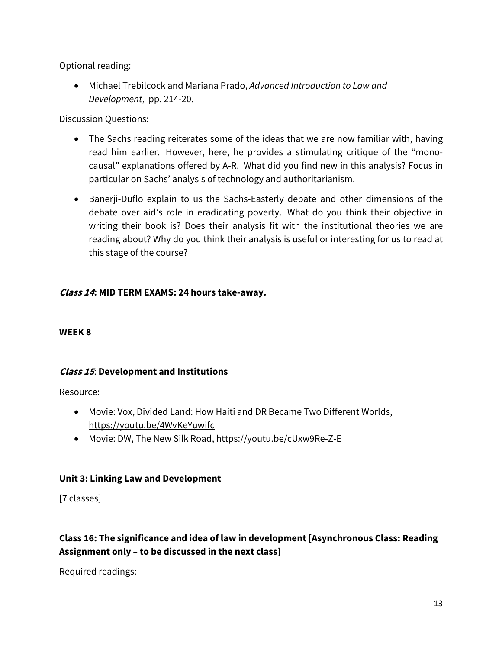Optional reading:

• Michael Trebilcock and Mariana Prado, *Advanced Introduction to Law and Development*, pp. 214-20.

Discussion Questions:

- The Sachs reading reiterates some of the ideas that we are now familiar with, having read him earlier. However, here, he provides a stimulating critique of the "monocausal" explanations offered by A-R. What did you find new in this analysis? Focus in particular on Sachs' analysis of technology and authoritarianism.
- Banerji-Duflo explain to us the Sachs-Easterly debate and other dimensions of the debate over aid's role in eradicating poverty. What do you think their objective in writing their book is? Does their analysis fit with the institutional theories we are reading about? Why do you think their analysis is useful or interesting for us to read at this stage of the course?

## **Class 14: MID TERM EXAMS: 24 hours take-away.**

### **WEEK 8**

## **Class 15**: **Development and Institutions**

Resource:

- Movie: Vox, Divided Land: How Haiti and DR Became Two Different Worlds, https://youtu.be/4WvKeYuwifc
- Movie: DW, The New Silk Road, https://youtu.be/cUxw9Re-Z-E

## **Unit 3: Linking Law and Development**

[7 classes]

## **Class 16: The significance and idea of law in development [Asynchronous Class: Reading Assignment only – to be discussed in the next class]**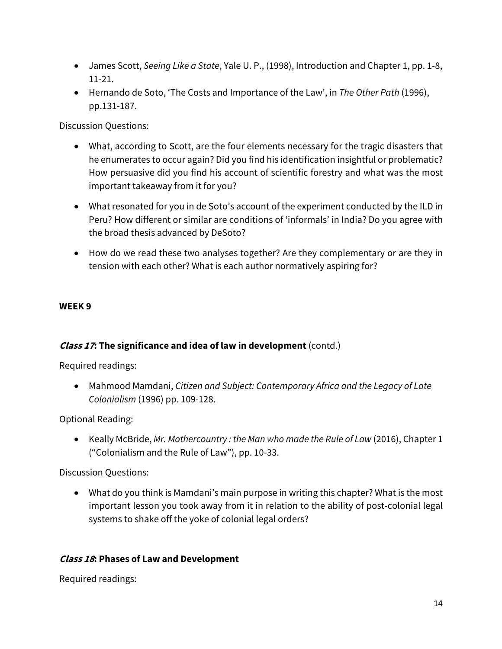- James Scott, *Seeing Like a State*, Yale U. P., (1998), Introduction and Chapter 1, pp. 1-8, 11-21.
- Hernando de Soto, 'The Costs and Importance of the Law', in *The Other Path* (1996), pp.131-187.

Discussion Questions:

- What, according to Scott, are the four elements necessary for the tragic disasters that he enumerates to occur again? Did you find his identification insightful or problematic? How persuasive did you find his account of scientific forestry and what was the most important takeaway from it for you?
- What resonated for you in de Soto's account of the experiment conducted by the ILD in Peru? How different or similar are conditions of 'informals' in India? Do you agree with the broad thesis advanced by DeSoto?
- How do we read these two analyses together? Are they complementary or are they in tension with each other? What is each author normatively aspiring for?

## **WEEK 9**

## **Class 17: The significance and idea of law in development** (contd.)

Required readings:

• Mahmood Mamdani, *Citizen and Subject: Contemporary Africa and the Legacy of Late Colonialism* (1996) pp. 109-128.

Optional Reading:

• Keally McBride, *Mr. Mothercountry : the Man who made the Rule of Law* (2016), Chapter 1 ("Colonialism and the Rule of Law"), pp. 10-33.

Discussion Questions:

• What do you think is Mamdani's main purpose in writing this chapter? What is the most important lesson you took away from it in relation to the ability of post-colonial legal systems to shake off the yoke of colonial legal orders?

## **Class 18: Phases of Law and Development**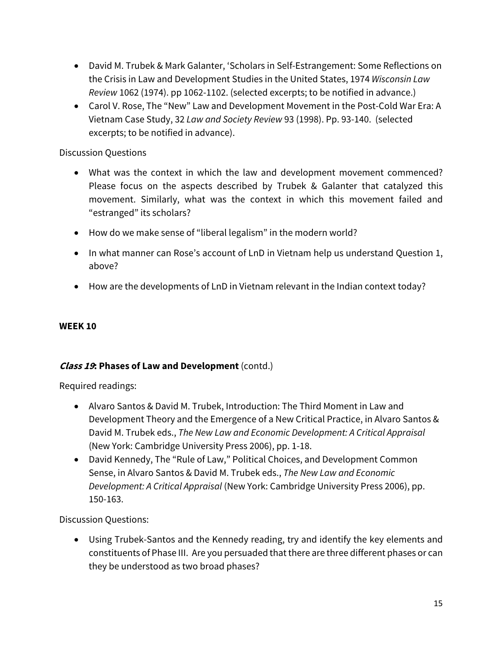- David M. Trubek & Mark Galanter, 'Scholars in Self-Estrangement: Some Reflections on the Crisis in Law and Development Studies in the United States, 1974 *Wisconsin Law Review* 1062 (1974). pp 1062-1102. (selected excerpts; to be notified in advance.)
- Carol V. Rose, The "New" Law and Development Movement in the Post-Cold War Era: A Vietnam Case Study, 32 *Law and Society Review* 93 (1998). Pp. 93-140. (selected excerpts; to be notified in advance).

## Discussion Questions

- What was the context in which the law and development movement commenced? Please focus on the aspects described by Trubek & Galanter that catalyzed this movement. Similarly, what was the context in which this movement failed and "estranged" its scholars?
- How do we make sense of "liberal legalism" in the modern world?
- In what manner can Rose's account of LnD in Vietnam help us understand Question 1, above?
- How are the developments of LnD in Vietnam relevant in the Indian context today?

## **WEEK 10**

## **Class 19: Phases of Law and Development** (contd.)

Required readings:

- Alvaro Santos & David M. Trubek, Introduction: The Third Moment in Law and Development Theory and the Emergence of a New Critical Practice, in Alvaro Santos & David M. Trubek eds., *The New Law and Economic Development: A Critical Appraisal* (New York: Cambridge University Press 2006), pp. 1-18.
- David Kennedy, The "Rule of Law," Political Choices, and Development Common Sense, in Alvaro Santos & David M. Trubek eds., *The New Law and Economic Development: A Critical Appraisal* (New York: Cambridge University Press 2006), pp. 150-163.

Discussion Questions:

• Using Trubek-Santos and the Kennedy reading, try and identify the key elements and constituents of Phase III. Are you persuaded that there are three different phases or can they be understood as two broad phases?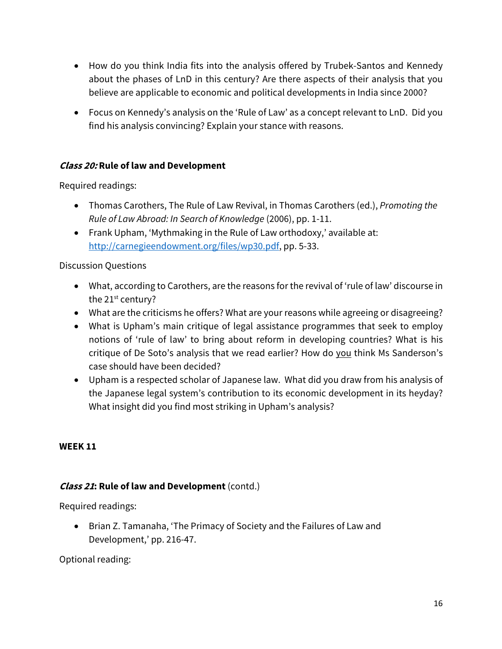- How do you think India fits into the analysis offered by Trubek-Santos and Kennedy about the phases of LnD in this century? Are there aspects of their analysis that you believe are applicable to economic and political developments in India since 2000?
- Focus on Kennedy's analysis on the 'Rule of Law' as a concept relevant to LnD. Did you find his analysis convincing? Explain your stance with reasons.

## **Class 20: Rule of law and Development**

Required readings:

- Thomas Carothers, The Rule of Law Revival, in Thomas Carothers (ed.), *Promoting the Rule of Law Abroad: In Search of Knowledge* (2006), pp. 1-11.
- Frank Upham, 'Mythmaking in the Rule of Law orthodoxy,' available at: http://carnegieendowment.org/files/wp30.pdf, pp. 5-33.

## Discussion Questions

- What, according to Carothers, are the reasons for the revival of 'rule of law' discourse in the 21<sup>st</sup> century?
- What are the criticisms he offers? What are your reasons while agreeing or disagreeing?
- What is Upham's main critique of legal assistance programmes that seek to employ notions of 'rule of law' to bring about reform in developing countries? What is his critique of De Soto's analysis that we read earlier? How do you think Ms Sanderson's case should have been decided?
- Upham is a respected scholar of Japanese law. What did you draw from his analysis of the Japanese legal system's contribution to its economic development in its heyday? What insight did you find most striking in Upham's analysis?

## **WEEK 11**

## **Class 21: Rule of law and Development** (contd.)

Required readings:

• Brian Z. Tamanaha, 'The Primacy of Society and the Failures of Law and Development,' pp. 216-47.

## Optional reading: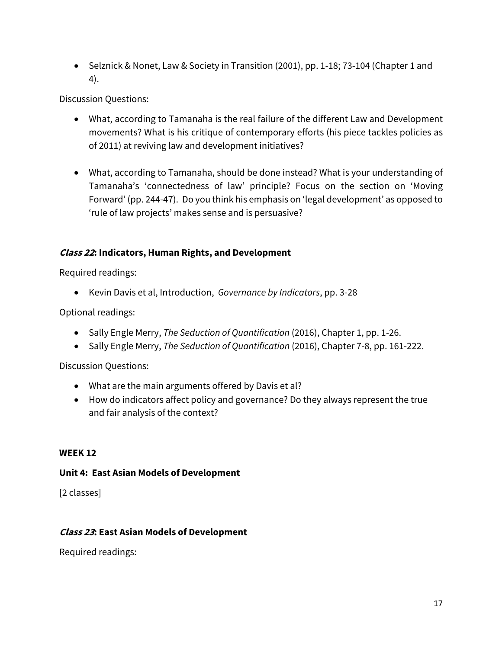• Selznick & Nonet, Law & Society in Transition (2001), pp. 1-18; 73-104 (Chapter 1 and 4).

Discussion Questions:

- What, according to Tamanaha is the real failure of the different Law and Development movements? What is his critique of contemporary efforts (his piece tackles policies as of 2011) at reviving law and development initiatives?
- What, according to Tamanaha, should be done instead? What is your understanding of Tamanaha's 'connectedness of law' principle? Focus on the section on 'Moving Forward' (pp. 244-47). Do you think his emphasis on 'legal development' as opposed to 'rule of law projects' makes sense and is persuasive?

## **Class 22: Indicators, Human Rights, and Development**

Required readings:

• Kevin Davis et al, Introduction, *Governance by Indicators*, pp. 3-28

Optional readings:

- Sally Engle Merry, *The Seduction of Quantification* (2016), Chapter 1, pp. 1-26.
- Sally Engle Merry, *The Seduction of Quantification* (2016), Chapter 7-8, pp. 161-222.

Discussion Questions:

- What are the main arguments offered by Davis et al?
- How do indicators affect policy and governance? Do they always represent the true and fair analysis of the context?

### **WEEK 12**

## **Unit 4: East Asian Models of Development**

[2 classes]

## **Class 23: East Asian Models of Development**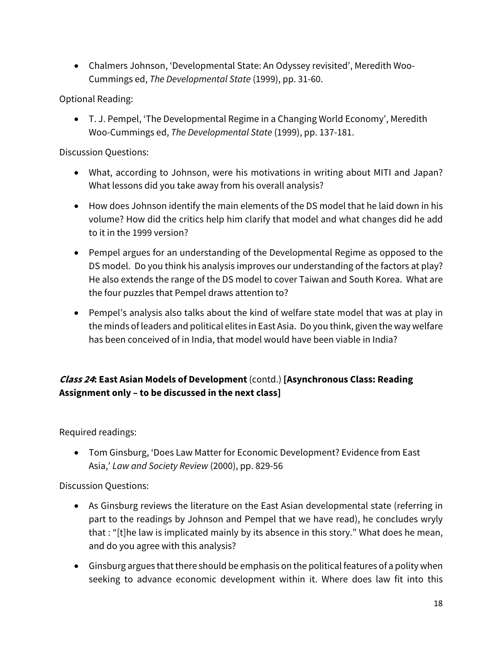• Chalmers Johnson, 'Developmental State: An Odyssey revisited', Meredith Woo-Cummings ed, *The Developmental State* (1999), pp. 31-60.

Optional Reading:

• T. J. Pempel, 'The Developmental Regime in a Changing World Economy', Meredith Woo-Cummings ed, *The Developmental State* (1999), pp. 137-181.

Discussion Questions:

- What, according to Johnson, were his motivations in writing about MITI and Japan? What lessons did you take away from his overall analysis?
- How does Johnson identify the main elements of the DS model that he laid down in his volume? How did the critics help him clarify that model and what changes did he add to it in the 1999 version?
- Pempel argues for an understanding of the Developmental Regime as opposed to the DS model. Do you think his analysis improves our understanding of the factors at play? He also extends the range of the DS model to cover Taiwan and South Korea. What are the four puzzles that Pempel draws attention to?
- Pempel's analysis also talks about the kind of welfare state model that was at play in the minds of leaders and political elites in East Asia. Do you think, given the way welfare has been conceived of in India, that model would have been viable in India?

# **Class 24: East Asian Models of Development** (contd.) **[Asynchronous Class: Reading Assignment only – to be discussed in the next class]**

Required readings:

• Tom Ginsburg, 'Does Law Matter for Economic Development? Evidence from East Asia,' *Law and Society Review* (2000), pp. 829-56

- As Ginsburg reviews the literature on the East Asian developmental state (referring in part to the readings by Johnson and Pempel that we have read), he concludes wryly that : "[t]he law is implicated mainly by its absence in this story." What does he mean, and do you agree with this analysis?
- Ginsburg argues that there should be emphasis on the political features of a polity when seeking to advance economic development within it. Where does law fit into this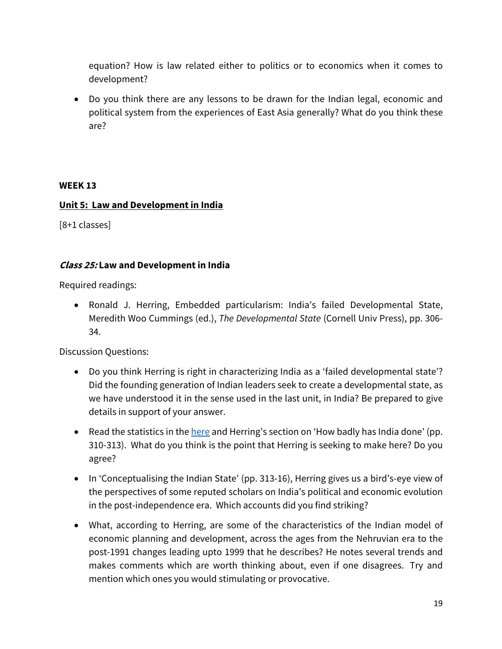equation? How is law related either to politics or to economics when it comes to development?

• Do you think there are any lessons to be drawn for the Indian legal, economic and political system from the experiences of East Asia generally? What do you think these are?

### **WEEK 13**

### **Unit 5: Law and Development in India**

[8+1 classes]

### **Class 25: Law and Development in India**

Required readings:

• Ronald J. Herring, Embedded particularism: India's failed Developmental State, Meredith Woo Cummings (ed.), *The Developmental State* (Cornell Univ Press), pp. 306- 34.

- Do you think Herring is right in characterizing India as a 'failed developmental state'? Did the founding generation of Indian leaders seek to create a developmental state, as we have understood it in the sense used in the last unit, in India? Be prepared to give details in support of your answer.
- Read the statistics in the here and Herring's section on 'How badly has India done' (pp. 310-313). What do you think is the point that Herring is seeking to make here? Do you agree?
- In 'Conceptualising the Indian State' (pp. 313-16), Herring gives us a bird's-eye view of the perspectives of some reputed scholars on India's political and economic evolution in the post-independence era. Which accounts did you find striking?
- What, according to Herring, are some of the characteristics of the Indian model of economic planning and development, across the ages from the Nehruvian era to the post-1991 changes leading upto 1999 that he describes? He notes several trends and makes comments which are worth thinking about, even if one disagrees. Try and mention which ones you would stimulating or provocative.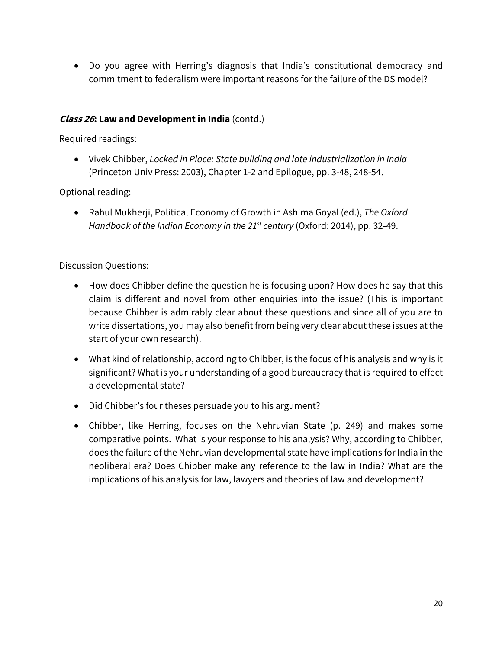• Do you agree with Herring's diagnosis that India's constitutional democracy and commitment to federalism were important reasons for the failure of the DS model?

## **Class 26: Law and Development in India** (contd.)

Required readings:

• Vivek Chibber, *Locked in Place: State building and late industrialization in India* (Princeton Univ Press: 2003), Chapter 1-2 and Epilogue, pp. 3-48, 248-54.

Optional reading:

• Rahul Mukherji, Political Economy of Growth in Ashima Goyal (ed.), *The Oxford Handbook of the Indian Economy in the 21st century* (Oxford: 2014), pp. 32-49.

- How does Chibber define the question he is focusing upon? How does he say that this claim is different and novel from other enquiries into the issue? (This is important because Chibber is admirably clear about these questions and since all of you are to write dissertations, you may also benefit from being very clear about these issues at the start of your own research).
- What kind of relationship, according to Chibber, is the focus of his analysis and why is it significant? What is your understanding of a good bureaucracy that is required to effect a developmental state?
- Did Chibber's four theses persuade you to his argument?
- Chibber, like Herring, focuses on the Nehruvian State (p. 249) and makes some comparative points. What is your response to his analysis? Why, according to Chibber, does the failure of the Nehruvian developmental state have implications for India in the neoliberal era? Does Chibber make any reference to the law in India? What are the implications of his analysis for law, lawyers and theories of law and development?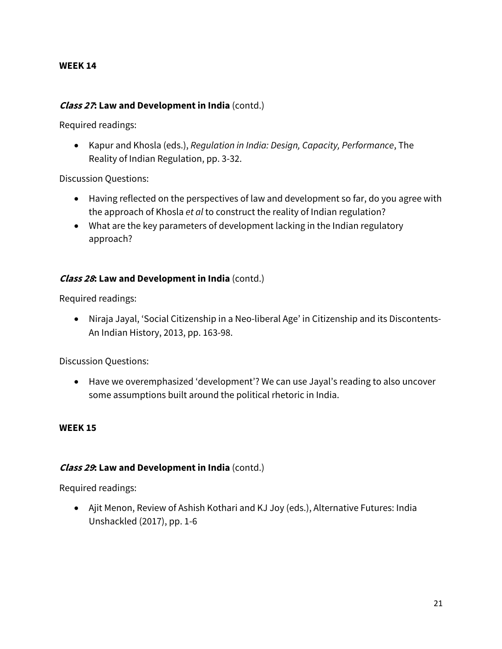### **WEEK 14**

### **Class 27: Law and Development in India** (contd.)

Required readings:

• Kapur and Khosla (eds.), *Regulation in India: Design, Capacity, Performance*, The Reality of Indian Regulation, pp. 3-32.

Discussion Questions:

- Having reflected on the perspectives of law and development so far, do you agree with the approach of Khosla *et al* to construct the reality of Indian regulation?
- What are the key parameters of development lacking in the Indian regulatory approach?

### **Class 28: Law and Development in India** (contd.)

Required readings:

• Niraja Jayal, 'Social Citizenship in a Neo-liberal Age' in Citizenship and its Discontents-An Indian History, 2013, pp. 163-98.

Discussion Questions:

• Have we overemphasized 'development'? We can use Jayal's reading to also uncover some assumptions built around the political rhetoric in India.

#### **WEEK 15**

### **Class 29: Law and Development in India** (contd.)

Required readings:

• Ajit Menon, Review of Ashish Kothari and KJ Joy (eds.), Alternative Futures: India Unshackled (2017), pp. 1-6